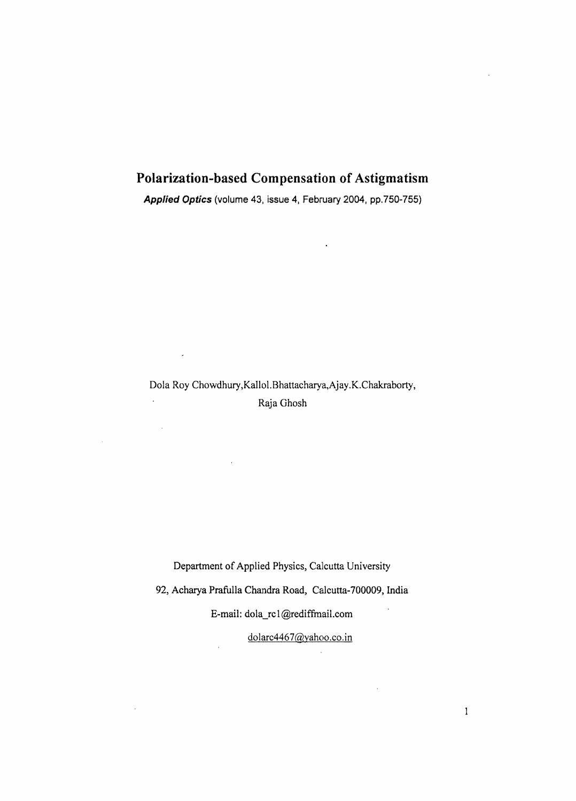# **Polarization-based Compensation of Astigmatism**

*Applied Optics* (volume 43, issue 4, February 2004, pp.750-755)

 $\ddot{\phantom{0}}$ 

Dola Roy Chowdhury,Kallol.Bhattacharya,Ajay.K.Chakraborty,  $\mathbf{r}$ Raja Ghosh

 $\mathcal{L}$ 

Department of Applied Physics, Calcutta University

92, Acharya Prafulla Chandra Road, Calcutta-700009, India

E-mail: dola\_rcl@rediffmail.com

dolarc4467@vahoo.co.in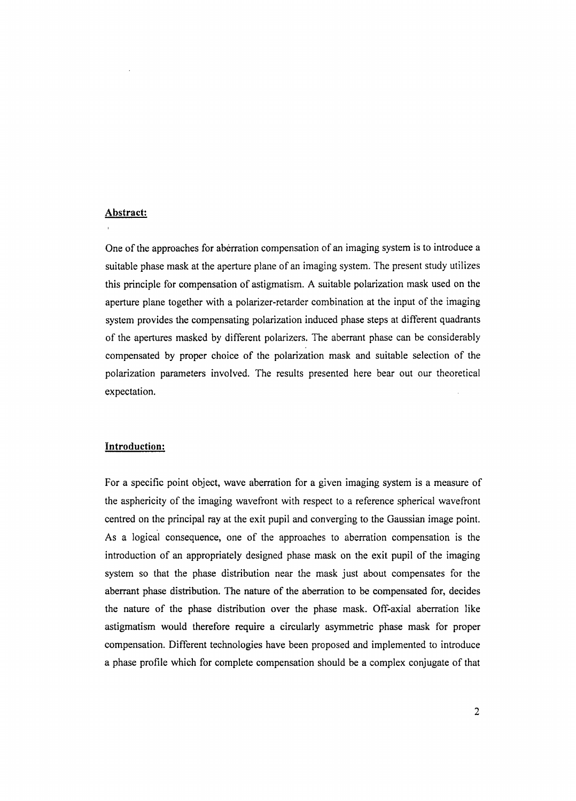# **Abstract:**

One of the approaches for aberration compensation of an imaging system is to introduce a suitable phase mask at the aperture plane of an imaging system. The present study utilizes this principle for compensation of astigmatism. A suitable polarization mask used on the aperture plane together with a polarizer-retarder combination at the input of the imaging system provides the compensating polarization induced phase steps at different quadrants of the apertures masked by different polarizers. The aberrant phase can be considerably compensated by proper choice of the polarization mask and suitable selection of the polarization parameters involved. The results presented here bear out our theoretical expectation.

# **Introduction:**

For a specific point object, wave aberration for a given imaging system is a measure of the asphericity of the imaging wavefront with respect to a reference spherical wavefront centred on the principal ray at the exit pupil and converging to the Gaussian image point. As a logical consequence, one of the approaches to aberration compensation is the introduction of an appropriately designed phase mask on the exit pupil of the imaging system so that the phase distribution near the mask just about compensates for the aberrant phase distribution. The nature of the aberration to be compensated for, decides the nature of the phase distribution over the phase mask. Off-axial aberration like astigmatism would therefore require a circularly asymmetric phase mask for proper compensation. Different technologies have been proposed and implemented to introduce a phase profile which for complete compensation should be a complex conjugate of that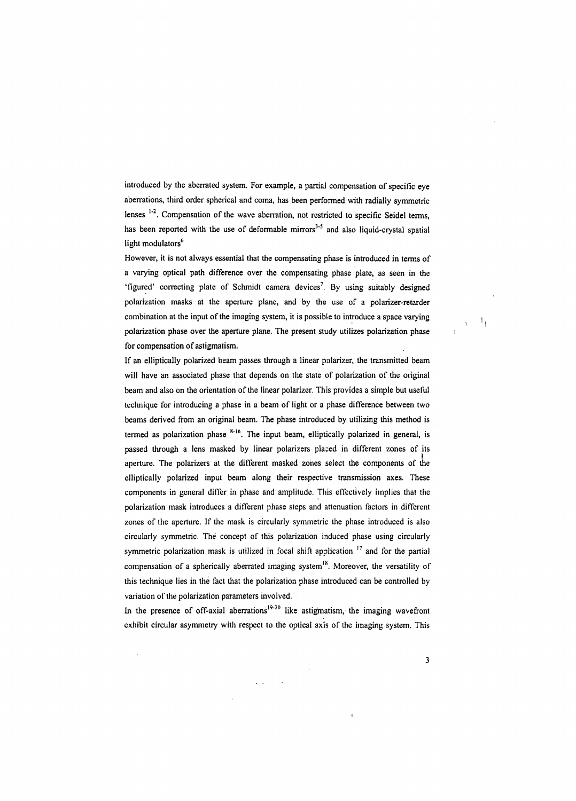introduced by the aberrated system. For example, a partial compensation of specific eye aberrations, third order spherical and coma, has been performed with radially symmetric lenses  $1-2$ . Compensation of the wave aberration, not restricted to specific Seidel terms, has been reported with the use of deformable mirrors<sup>3-5</sup> and also liquid-crystal spatial light modulators<sup>6</sup>

However, it is not always essential that the compensating phase is introduced in terms of a varying optical path difference over the compensating phase plate, as seen in the 'figured' correcting plate of Schmidt camera devices<sup>7</sup>. By using suitably designed polarization masks at the aperture plane, and by the use of a polarizer-retarder combination at the input of the imaging system, it is possible to introduce a space varying polarization phase over the aperture plane. The present study utilizes polarization phase for compensation of astigmatism.

If an elliptically polarized beam passes through a linear polarizer, the transmitted beam will have an associated phase that depends on the state of polarization of the original beam and also on the orientation of the linear polarizer. This provides a simple but useful technique for introducing a phase in a beam of light or a phase difference between two beams derived from an original beam. The phase introduced by utilizing this method is termed as polarization phase  $8-16$ . The input beam, elliptically polarized in general, is passed through a lens masked by linear polarizers placed in different zones of its aperture. The polarizers at the different masked zones select the components of the elliptically polarized input beam along their respective transmission axes. These components in general differ in phase and amplitude. This effectively implies that the polarization mask introduces a different phase steps and attenuation factors in different zones of the aperture. If the mask is circularly symmetric the phase introduced is also circularly symmetric. The concept of this polarization induced phase using circularly symmetric polarization mask is utilized in focal shift application  $17$  and for the partial compensation of a spherically aberrated imaging system $18$ . Moreover, the versatility of this technique lies in the fact that the polarization phase introduced can be controlled by variation of the polarization parameters involved.

In the presence of off-axial aberrations<sup>19-20</sup> like astigmatism, the imaging wavefront exhibit circular asymmetry with respect to the optical axis of the imaging system. This

 $\overline{1}$  .

**3**

 $\mathbf{1}_{1}$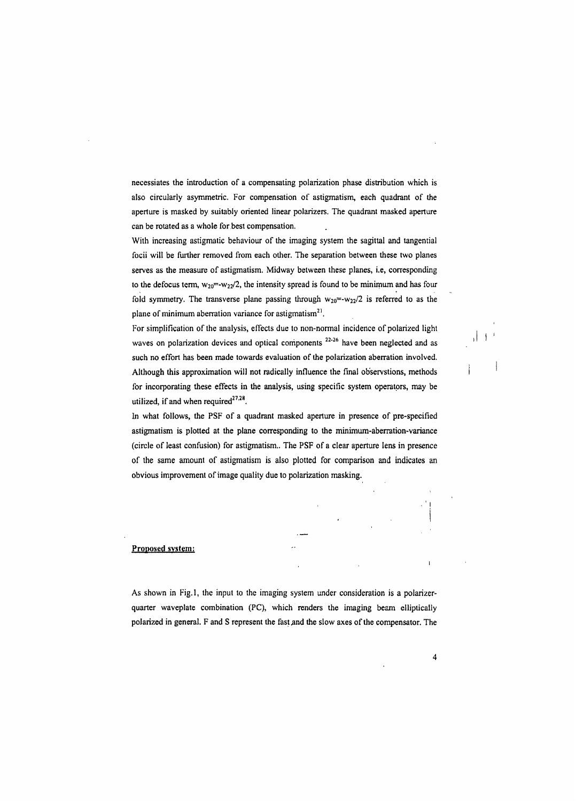necessiates the introduction of a compensating polarization phase distribution which is also circularly asymmetric. For compensation of astigmatism, each quadrant of the aperture is masked by suitably oriented linear polarizers. The quadrant masked aperture can be rotated as a whole for.best compensation.

With increasing astigmatic behaviour of the imaging system the sagittal and tangential focii will be further removed from each other. The separation between these two planes serves as the measure of astigmatism. Midway between these planes, i.e, corresponding to the defocus term,  $w_{20} = -w_{22}/2$ , the intensity spread is found to be minimum and has four fold symmetry. The transverse plane passing through  $w_{20}$ =- $w_{22}/2$  is referred to as the plane of minimum aberration variance for astigmatism<sup>21</sup>.

For simplification of the analysis, effects due to non-normal incidence of polarized light waves on polarization devices and optical components **22'26** have been neglected and as such no effort has been made towards evaluation of the polarization aberration involved. Although this approximation will not radically influence the final ob'servstions, methods for incorporating these effects in the analysis, using specific system operators, may be utilized, if and when required<sup>27,28</sup>.

In what follows, the PSF of a quadrant masked aperture in presence of pre-specified astigmatism is plotted at the plane corresponding to the minimum-aberration-variance (circle of least confusion) for astigmatism.. The PSF of a clear aperture lens in presence of the same amount of astigmatism is also plotted for comparison and indicates an obvious improvement of image quality due to polarization masking.

#### **Proposed system:**

As shown in Fig.l, the input to the imaging system under consideration is a polarizerquarter waveplate combination (PC), which renders the imaging beam ellipticaliy polarized in general. F and S represent the fast and the slow axes of the compensator. The

**4**

. ' <sup>i</sup>

 $\overline{1}$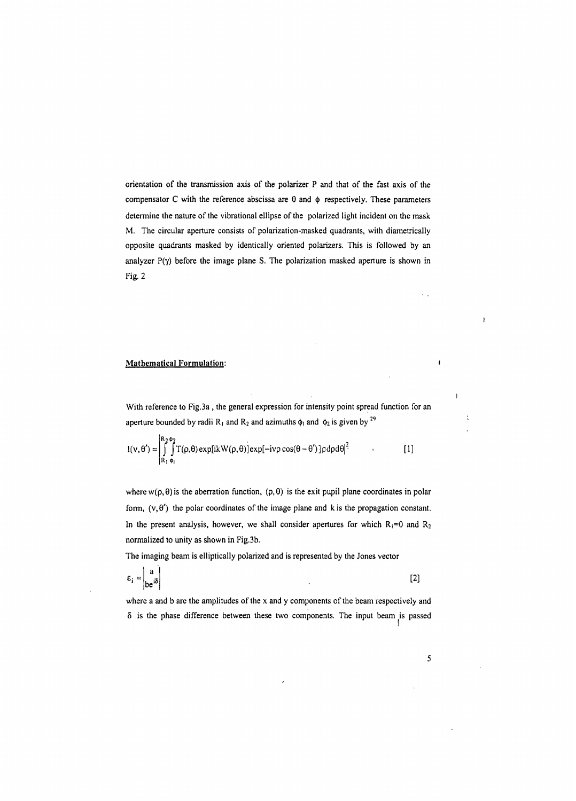**orientation of the transmission axis of the polarizer P and that of the fast axis of the compensator C with the reference abscissa are 0 and <j) respectively. These parameters determine the nature of the vibrational ellipse of the polarized light incident on the mask M. The circular aperture consists of polarization-masked quadrants, with diametrically opposite quadrants masked by identically oriented polarizers. This is followed by an analyzer P(y) before the image plane S. The polarization masked aperture is shown in Fig. 2**

### **Mathematical Formulation:** <sup>i</sup>

 $\overline{1}$ 

**With reference to Fig.3a , the general expression for intensity point spread function for an** aperture bounded by radii  $R_1$  and  $R_2$  and azimuths  $\phi_1$  and  $\phi_2$  is given by <sup>29</sup>

$$
I(v, \theta') = \int_{R_1}^{R_2 \phi_2} \int_{\phi_1}^{R_2 \phi_2} T(\rho, \theta) \exp[ikW(\rho, \theta)] \exp[-iv\rho \cos(\theta - \theta')] \rho d\rho d\theta]^2
$$
 [1]

**where**  $w(\rho, \theta)$  is the aberration function,  $(\rho, \theta)$  is the exit pupil plane coordinates in polar **form,**  $(v, \theta')$  the polar coordinates of the image plane and k is the propagation constant. In the present analysis, however, we shall consider apertures for which  $R_1=0$  and  $R_2$ **normalized to unity as shown in Fig.3b.**

**The imaging beam is elliptically polarized and is represented by the Jones vector**

$$
\varepsilon_{i} = \begin{vmatrix} a \\ be^{i\delta} \end{vmatrix}
$$
 [2]

where a and b are the amplitudes of the x and y components of the beam respectively and **8 is the phase difference between these two components. The input beam is passed**

**5**

 $\hat{\mathcal{L}}_{\text{eff}}$ 

 $\mathbf{I}$ 

 $\ddot{\phantom{a}}$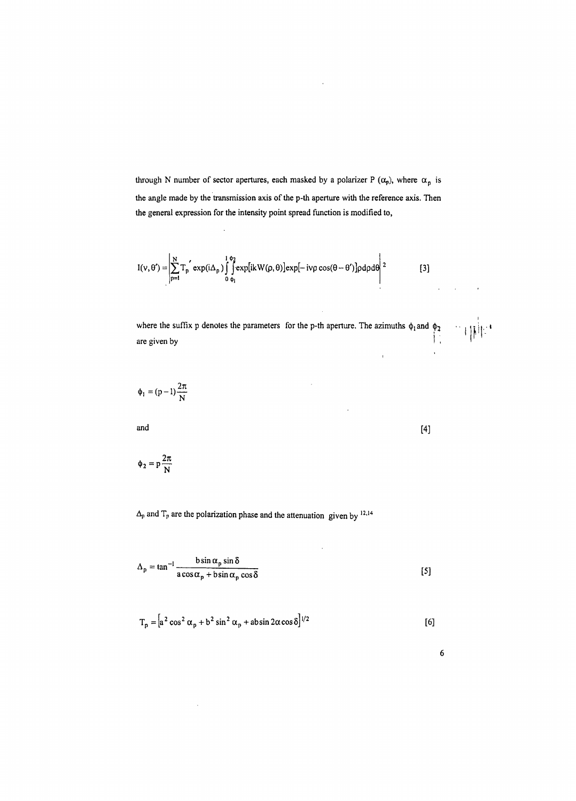**through N number** of **sector** apertures, each masked by a polarizer **P**  $(\alpha_p)$ , where  $\alpha_p$  is **the angle made by the transmission axis ofthe p-th aperture with the reference axis. Then the general expression for the intensity point spread function is modified to,**

$$
I(v, \theta') = \left| \sum_{p=1}^{N} T_p \exp(i\Delta_p) \int_{0}^{1\phi_2} \exp[ikW(\rho, \theta)] \exp[-iv\rho \cos(\theta - \theta')] \rho d\rho d\theta \right|^2
$$
 [3]

where the suffix p denotes the parameters for the p-th aperture. The azimuths  $\phi_1$  and  $\phi_2$ <br>are given by

$$
\phi_1 = (p-1)\frac{2\pi}{N}
$$

**and [4]**

$$
\varphi_2=p\frac{2\pi}{N}
$$

 $\bar{z}$ 

 $\Delta_p$  and  $T_p$  are the polarization phase and the attenuation given by  $12,14$ 

$$
\Delta_p = \tan^{-1} \frac{b \sin \alpha_p \sin \delta}{a \cos \alpha_p + b \sin \alpha_p \cos \delta}
$$
 [5]

 $\bar{z}$ 

$$
T_p = \left[a^2 \cos^2 \alpha_p + b^2 \sin^2 \alpha_p + \text{absin } 2\alpha \cos \delta\right]^{1/2}
$$
 [6]

**6**

 $\sim 10$ 

 $\mathbf{r}$ 

 $\sim 10$ 

 $\bar{1}$ 

 $\mathbb{E}\left(\left\Vert \mathbf{z}\right\Vert \mathbf{z}\right)$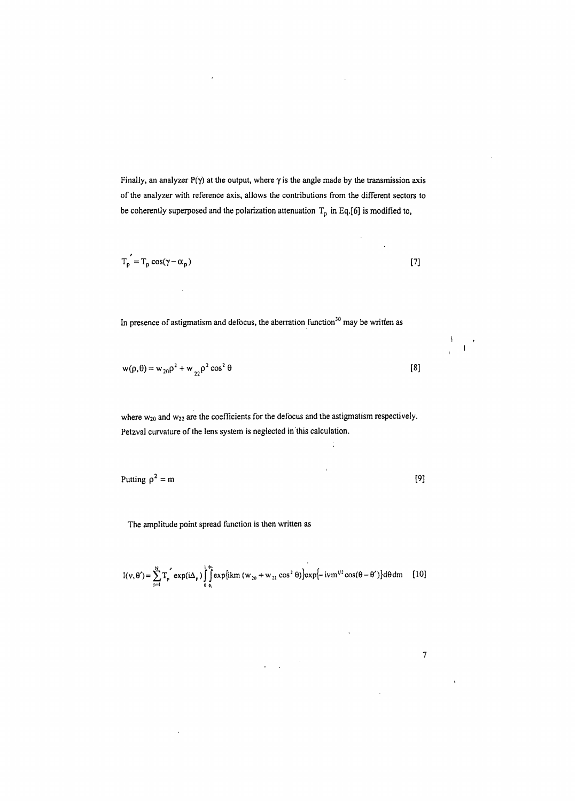Finally, an analyzer  $P(\gamma)$  at the output, where  $\gamma$  is the angle made by the transmission axis of the analyzer with reference axis, allows the contributions from the different sectors to be coherently superposed and the polarization attenuation  $T_p$  in Eq.[6] is modified to,

$$
T_{\mathsf{p}}' = T_{\mathsf{p}} \cos(\gamma - \alpha_{\mathsf{p}})
$$

In presence of astigmatism and defocus, the aberration function $30$  may be written as

$$
w(\rho, \theta) = w_{20}\rho^2 + w_{22}\rho^2 \cos^2 \theta
$$
 [8]

where  $w_{20}$  and  $w_{22}$  are the coefficients for the defocus and the astigmatism respectively. Petzval curvature of the lens system is neglected in this calculation.

 $\frac{1}{4}$ 

 $\overline{1}$ 

Putting  $\rho^2 = m$  [9]

The amplitude point spread function is then written as

 $\bar{z}$ 

$$
I(v, \theta') = \sum_{p=1}^{N} T_p \exp(i\Delta_p) \int_{0}^{+\theta_1} \exp\{ikm (w_{20} + w_{22} \cos^2 \theta)\} \exp\{-ivm^{1/2} \cos(\theta - \theta')\} d\theta dm
$$
 [10]

 $\ddot{\phantom{a}}$ 

**7**

 $\bar{z}$ 

 $\ddot{\phantom{0}}$ 

 $\bigg\}$  $\mathbf{I}$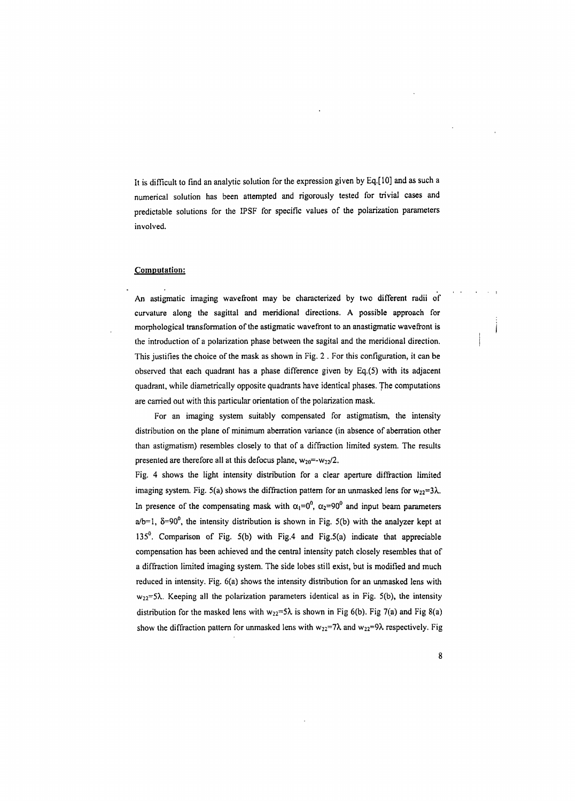**It is difficult to find an analytic solution for the expression given by Eq.[10] and as such a numerical solution has been attempted and rigorously tested for trivial cases and predictable solutions for the IPSF for specific values of the polarization parameters involved.**

## **Computation:**

**An astigmatic imaging wavefront may be characterized by two different radii of curvature along the sagittal and meridional directions. A possible approach for morphological transformation ofthe astigmatic wavefront to an anastigmatic wavefront is the introduction of a polarization phase between the sagital and the meridional direction. This justifies the choice ofthe mask as shown in Fig. 2 . For this configuration, it can be observed that each quadrant has a phase difference given by Eq.(5) with its adjacent quadrant, while diametrically opposite quadrants have identical phases. The computations are carried out with this particular orientation ofthe polarization mask.**

**For an imaging system suitably compensated for astigmatism, the intensity distribution on the plane of minimum aberration variance (in absence of aberration other than astigmatism) resembles closely to that of a diffraction limited system. The results presented** are therefore all at this defocus plane,  $w_{20} = -w_{22}/2$ .

**Fig. 4 shows the light intensity distribution for a clear aperture diffraction limited imaging system.** Fig. 5(a) shows the diffraction pattern for an unmasked lens for  $w_{22}=3\lambda$ . In presence of the compensating mask with  $\alpha_1 = 0^0$ ,  $\alpha_2 = 90^0$  and input beam parameters  $a/b=1$ ,  $\delta=90^\circ$ , the intensity distribution is shown in Fig. 5(b) with the analyzer kept at **135°. Comparison of Fig. 5(b) with Fig.4 and Fig,5(a) indicate that appreciable compensation has been achieved and the central intensity patch closely resembles that of a diffraction limited imaging system. The side lobes still exist, but is modified and much reduced in intensity. Fig. 6(a) shows the intensity distribution for an unmasked lens with w22=5X. Keeping all the polarization parameters identical as in Fig. 5(b), the intensity distribution** for the masked lens with  $w_{22} = 5\lambda$  is shown in Fig 6(b). Fig 7(a) and Fig 8(a) show the diffraction pattern for unmasked lens with  $w_{22}=7\lambda$  and  $w_{22}=9\lambda$  respectively. Fig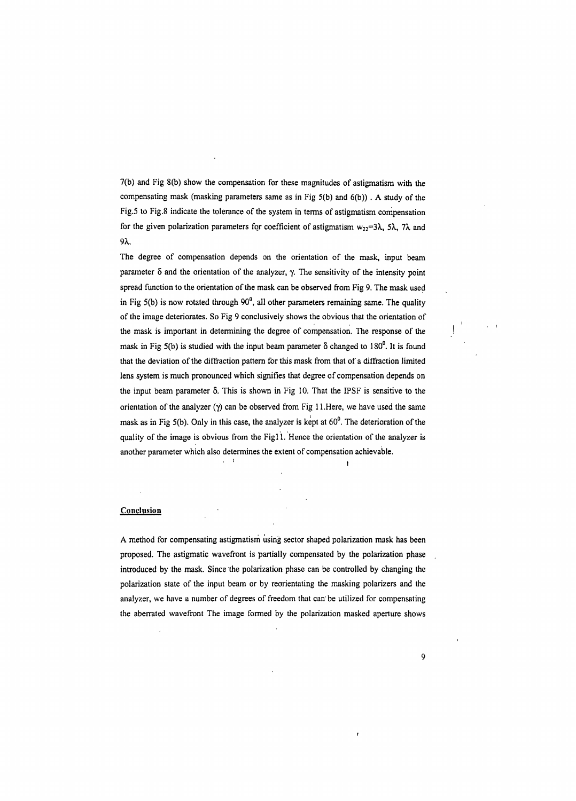7(b) and Fig 8(b) show the compensation for these magnitudes of astigmatism with the compensating mask (masking parameters same as in Fig 5(b) and 6(b)) . A study of the Fig.5 to Fig.8 indicate the tolerance of the system in terms of astigmatism compensation for the given polarization parameters for coefficient of astigmatism  $w_{22}=3\lambda$ ,  $5\lambda$ ,  $7\lambda$  and *9X.*

The degree of compensation depends on the orientation of the mask, input beam parameter  $\delta$  and the orientation of the analyzer,  $\gamma$ . The sensitivity of the intensity point spread function to the orientation of the mask can be observed from Fig 9. The mask used in Fig  $5(b)$  is now rotated through  $90^0$ , all other parameters remaining same. The quality of the image deteriorates. So Fig 9 conclusively shows the obvious that the orientation of the mask is important in determining the degree of compensation. The response of the mask in Fig 5(b) is studied with the input beam parameter  $\delta$  changed to 180<sup>0</sup>. It is found that the deviation of the diffraction pattern for this mask from that of a diffraction limited lens system is much pronounced which signifies that degree of compensation depends on the input beam parameter  $\delta$ . This is shown in Fig 10. That the IPSF is sensitive to the orientation of the analyzer  $(\gamma)$  can be observed from Fig 11. Here, we have used the same mask as in Fig 5(b). Only in this case, the analyzer is kept at  $60^0$ . The deterioration of the quality of the image is obvious from the Fig11. Hence the orientation of the analyzer is another parameter which also determines the extent of compensation achievable.

#### **Conclusion**

A method for compensating astigmatism using sector shaped polarization mask has been proposed. The astigmatic wavefront is partially compensated by the polarization phase introduced by the mask. Since the polarization phase can be controlled by changing the polarization state of the input beam or by reorientating the masking polarizers and the analyzer, we have a number of degrees of freedom that can' be utilized for compensating the aberrated wavefront The image formed by the polarization masked aperture shows

**9**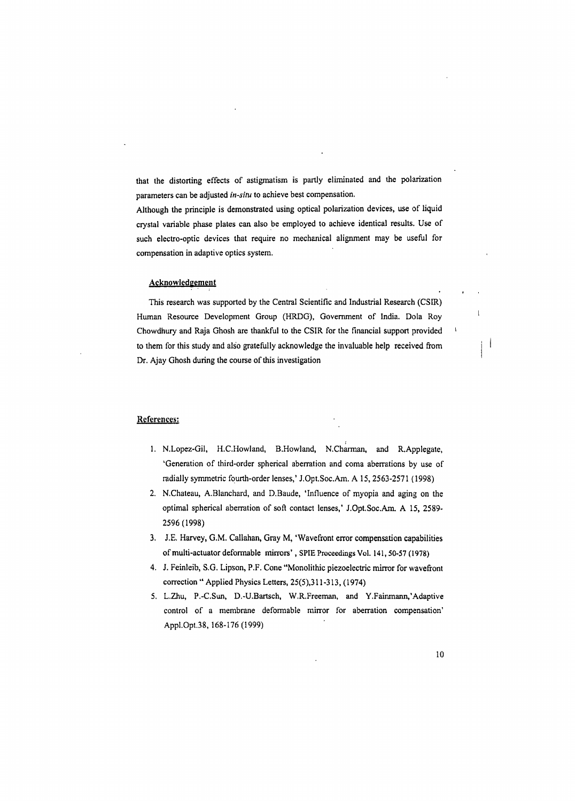that the distorting effects of astigmatism is partly eliminated and the polarization parameters can be adjusted *in-situ* to achieve best compensation.

Although the principle is demonstrated using optical polarization devices, use of liquid crystal variable phase plates can also be employed to achieve identical results. Use of such electro-optic devices that require no mechanical alignment may be useful for compensation in adaptive optics system.

#### Acknowledgement

This research was supported by the Central Scientific and Industrial Research (CSER) Human Resource Development Group (HRDG), Government of India. Dola Roy Chowdhury and Raja Ghosh are thankful to the CSIR for the financial support provided to them for this study and also gratefully acknowledge the invaluable help received from Dr. Ajay Ghosh during the course of this investigation

## References:

- I 1. N.Lopez-Gil, H.C.Howland, B.Howland, N.Charman, and R.Applegate, 'Generation of third-order spherical aberration and coma aberrations by use of radially symmetric fourth-order lenses,' J.Opt.Soc.Am. A 15, 2563-2571 (1998)
- 2. N.Chateau, A.Blanchard, and D.Baude, 'Influence of myopia and aging on the optimal spherical aberration of soft contact lenses,' J.Opt.Soc.Am. A 15, 2589- 2596(1998)
- 3. J.E. Harvey, G.M. Callahan, Gray M, 'Wavefront error compensation capabilities ofmulti-actuator deformable mirrors', SPIE Proceedings Vol. 141,50-57 (1978)
- 4. J. Feinleib, S.G. Lipson, P.F. Cone "Monolithic piezoelectric mirror for wavefront correction " Applied Physics Letters, 25(5),311-313, (1974)
- 5. L.Zhu, P.-C.Sun, D.-U.Bartsch, W.R.Freeman, and Y.Fainmann,'Adaptive control of a membrane deformable mirror for aberration compensation' AppI.Opt.38, 168-176 (1999)

j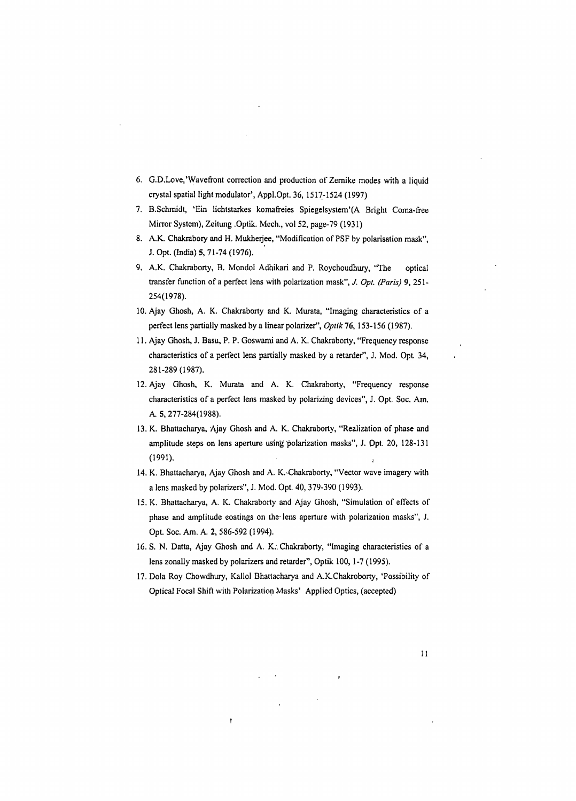- 6. G.D.Love,'Wavefront correction and production of Zemike modes with a liquid crystal spatial light modulator', Appl.Opt. 36, 1517-1524 (1997)
- 7. B.Schmidt, 'Ein lichtstarkes komafreies Spiegelsystem'(A Bright Coma-free Mirror System), Zeitung .Optik. Mech., vol 52, page-79 (1931)
- 8. A.K. Chakrabory and H. Mukherjee, "Modification of PSF by polarisation mask", J. Opt. (India) 5, 71-74 (1976).
- 9. A.K. Chakraborty, B. Mondol Adhikari and P. Roychoudhury, "The optical transfer function of a perfect lens with polarization mask", *J. Opt. (Paris)* 9, 251- 254(1978).
- 10. Ajay Ghosh, A. K. Chakraborty and K. Murata, "Imaging characteristics of a perfect lens partially masked by a linear polarizer", *Optik* 76, 153-156 (1987).
- 11. Ajay Ghosh, J. Basu, P. P. Goswami and A. K. Chakraborty, "Frequency response characteristics of a perfect lens partially masked by a retarder", J. Mod. Opt 34, 281-289(1987).
- 12. Ajay Ghosh, K. Murata and A. K. Chakraborty, "Frequency response characteristics of a perfect lens masked by polarizing devices", J. Opt. Soc. Am. A. 5, 277-284(1988).
- 13. K. Bhattacharya, Ajay Ghosh and A. K. Chakraborty, "Realization of phase and amplitude steps on lens aperture using' polarization masks", J. Opt. 20, 128-131 (1991).
- 14. K. Bhattacharya, Ajay Ghosh and A. K.'Chakraborty, "Vector wave imagery with a lens masked by polarizers", J. Mod. Opt. 40, 379-390 (1993).
- 15. K. Bhattacharya, A. K. Chakraborty and Ajay Ghosh, "Simulation of effects of phase and amplitude coatings on the' lens aperture with polarization masks", J. Opt. Soc. Am. A. 2, 586-592 (1994).
- 16. S. N. Datta, Ajay Ghosh and A. K., Chakraborty, "Imaging characteristics of a lens zonally masked by polarizers and retarder", Optik 100, 1-7 (1995).
- 17. Dola Roy Chowdhury, Kallol Bhattacharya and A.K.Chakroborty, 'Possibility of Optical Focal Shift with Polarization Masks' Applied Optics, (accepted)

t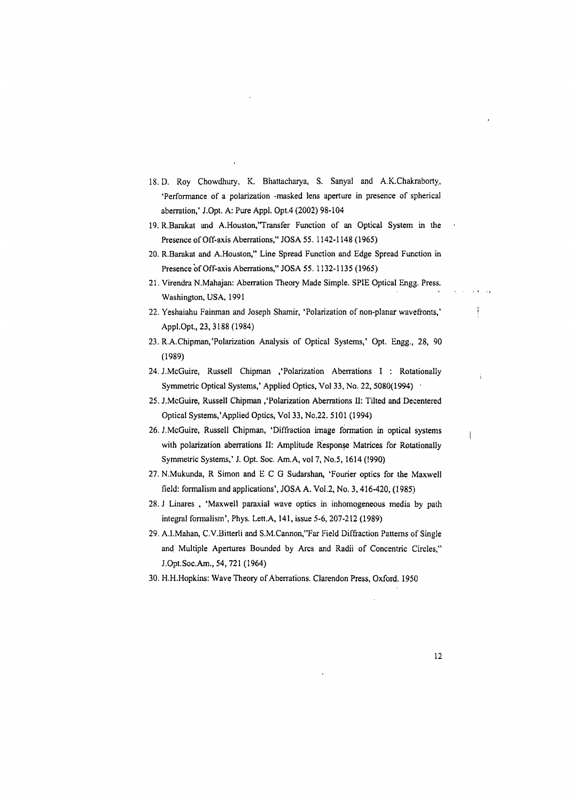- 18. D. Roy Chowdhury, K. Bhattacharya, S. Sanyal and A.K.Chakraborty, 'Performance of a polarization -masked lens aperture in presence of spherical aberration,' J.Opt. A: Pure Appl. Opt.4 (2002) 98-104
- 19. R.Barakat and A.Houston,'Transfer Function of an Optical System in the Presence of Off-axis Aberrations," JOSA 55. 1142-1148 (1965)
- 20. R.Barakat and A.Houston," Line Spread Function and Edge Spread Function in Presence of Off-axis Aberrations," JOSA 55. 1132-1135 (1965)
- 21. Virendra N.Mahajan: Aberration Theory Made Simple. SPIE Optical Engg. Press. Washington, USA, 1991
- 22. Yeshaiahu Fainman and Joseph Shamir, 'Polarization of non-planar wavefronts,' Appl.Opt., 23, 3188 (1984)
- 23. R.A.Chipman,'Polarization Analysis of Optical Systems,' Opt. Engg., 28, 90 (1989)
- 24. J.McGuire, Russell Chipman ,'Polarization Aberrations I : Rotationally Symmetric Optical Systems,' Applied Optics, Vol 33, No. 22, 5080(1994) •
- 25. J.McGuire, Russell Chipman ,'Polarization Aberrations II: Tilted and Decentered Optical Systems,'Applied Optics, Vol 33, No.22. 5101 (1994)
- 26. J.McGuire, Russell Chipman, 'Diffraction image formation in optical systems with polarization aberrations II: Amplitude Response Matrices for Rotationally Symmetric Systems,' J. Opt. Soc. Am.A, vol 7, No.5, 1614 (1990)
- 27. N.Mukunda, R Simon and E C G Sudarshan, 'Fourier optics for the Maxwell field: formalism and applications', JOSA A. Vol.2, No. 3,416-420, (1985)
- 28. J Linares , 'Maxwell paraxial wave optics in inhomogeneous media by path integral formalism', Phys. Lett.A, 141, issue 5-6, 207-212 (1989)
- 29. A.I.Mahan, C.V.Bitterli and S.M.Cannon,"Far Field Diffraction Patterns of Single and Multiple Apertures Bounded by Arcs and Radii of Concentric Circles," J.Opt.Soc.Am., 54, 721 (1964)
- 30. H.H.Hopkins: Wave Theory of Aberrations. Clarendon Press, Oxford. 1950

12

Ť

 $\ddot{\phantom{a}}$ 

 $\overline{\phantom{a}}$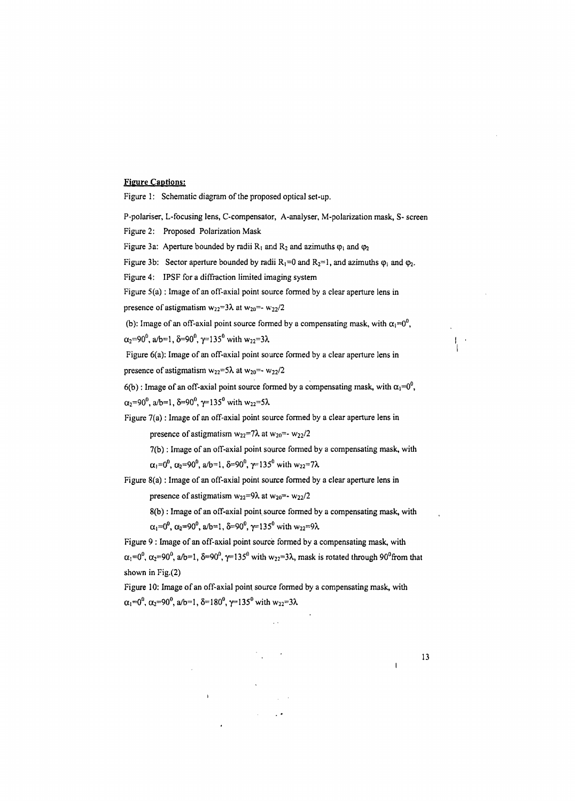# Figure Captions:

Figure 1: Schematic diagram of the proposed optical set-up.

 $\alpha_1=0^0$ ,  $\alpha_2=90^0$ , a/b=1,  $\delta=180^0$ ,  $\gamma=135^0$  with  $w_{22}=3\lambda$ 

i

P-polariser, L-focusing lens, C-compensator, A-analyser, M-polarization mask, S- screen Figure 2: Proposed Polarization Mask Figure 3a: Aperture bounded by radii  $R_1$  and  $R_2$  and azimuths  $\varphi_1$  and  $\varphi_2$ Figure 3b: Sector aperture bounded by radii  $R_1 = 0$  and  $R_2 = 1$ , and azimuths  $\varphi_1$  and  $\varphi_2$ . Figure 4: IPSF for a diffraction limited imaging system Figure 5(a): Image of an off-axial point source formed by a clear aperture lens in presence of astigmatism  $w_{22}=3\lambda$  at  $w_{20}=-w_{22}/2$ (b): Image of an off-axial point source formed by a compensating mask, with  $\alpha_1=0^0$ ,  $\alpha_2=90^0$ , a/b=1,  $\delta=90^0$ ,  $\gamma=135^0$  with w<sub>22</sub>=3 $\lambda$ Figure 6(a): Image of an off-axial point source formed by a clear aperture lens in presence of astigmatism  $w_{22} = 5\lambda$  at  $w_{20} = -w_{22}/2$ 6(b): Image of an off-axial point source formed by a compensating mask, with  $\alpha_1=0^0$ ,  $\alpha_2=90^0$ , a/b=1,  $\delta=90^0$ ,  $\gamma=135^0$  with w<sub>22</sub>=5 $\lambda$ Figure 7(a): Image of an off-axial point source formed by a clear aperture lens in presence of astigmatism  $w_{22}=7\lambda$  at  $w_{20}=-w_{22}/2$  $7(b)$ : Image of an off-axial point source formed by a compensating mask, with  $\alpha_1=0^0$ ,  $\alpha_2=90^0$ , a/b=1,  $\delta=90^0$ ,  $\gamma=135^0$  with  $w_{22}=7\lambda$ Figure 8(a): Image of an off-axial point source formed by a clear aperture lens in presence of astigmatism  $w_{22}=9\lambda$  at  $w_{20}=-w_{22}/2$ 8(b): Image of an off-axial point source formed by a compensating mask, with  $\alpha_1=0^0$ ,  $\alpha_2=90^0$ , a/b=1,  $\delta=90^0$ ,  $\gamma=135^0$  with  $w_{22}=9\lambda$ Figure 9 : Image of an off-axial point source formed by a compensating mask, with  $\alpha_1=0^0$ ,  $\alpha_2=90^0$ ,  $\alpha/b=1$ ,  $\delta=90^0$ ,  $\gamma=135^0$  with  $w_{22}=3\lambda$ , mask is rotated through 90<sup>0</sup>from that shown in Fig.(2) Figure 10: Image of an off-axial point source formed by a compensating mask, with

13

l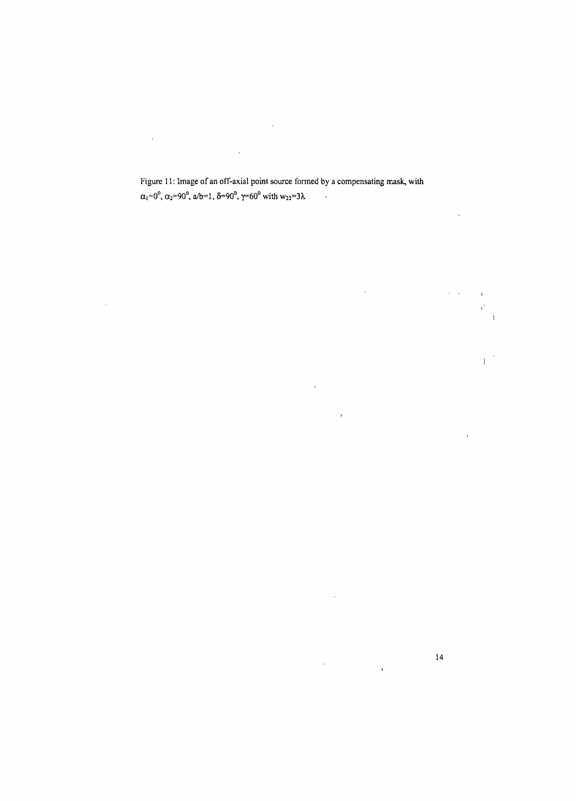$\mathcal{L}(\mathcal{L}^{\mathcal{L}})$  and  $\mathcal{L}(\mathcal{L}^{\mathcal{L}})$  .  $\ddot{\phantom{a}}$  $\mathcal{A}$ 

#### Figure 11: Image of an off-axial point source formed by a compensating mask, with  $\alpha_1=0^0$ ,  $\alpha_2=90^0$ , a/b=1,  $\delta=90^0$ ,  $\gamma=60^0$  with  $w_{22}=3\lambda$  $\sim 10$

 $\hat{\mathcal{A}}$ 

 $\hat{\mathbf{r}}$  $\sim 10^{11}$  $\lambda = 1$ 

 $\mathbf{I}$  $\bar{\mathcal{A}}$ 

 $\bar{\mathbf{r}}$  $\bar{\bar{t}}$ 

 $\bar{\mathcal{A}}$ 

 $14$  $\hat{\mathcal{A}}$  $\hat{\mathbf{r}}$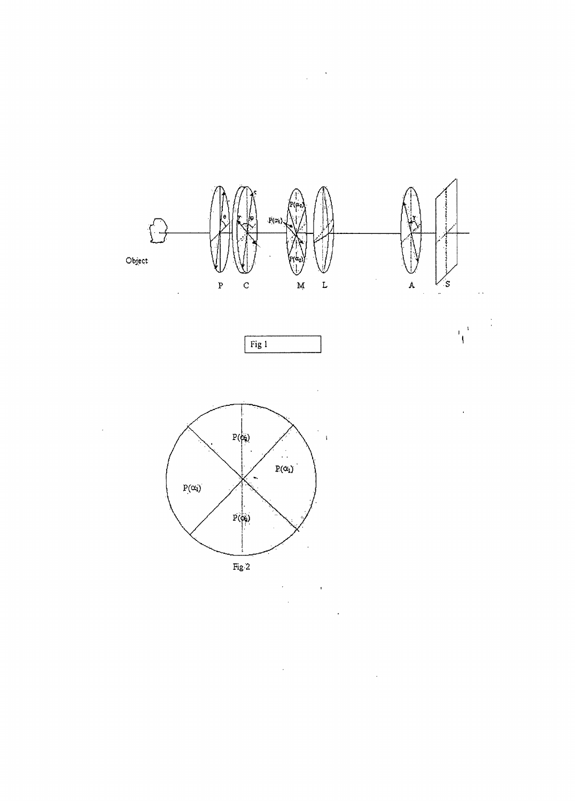

 $\mathbf{L}$ 

Á

s

 $\ddot{\phantom{a}}$ 

 $\begin{pmatrix} 1 \\ 1 \end{pmatrix}$ 

 $\frac{1}{2}$ 

l.

 $\mathbf{M}$ 

 $\sim 0$  $\frac{1}{2}$ 

Object

 $\overline{a}$ 

 $Fig1$ 



 $\bar{\mathbf{P}}$ 

 $\overline{a}$ 

 $\ddot{\rm c}$ 

 $\ddot{\phantom{0}}$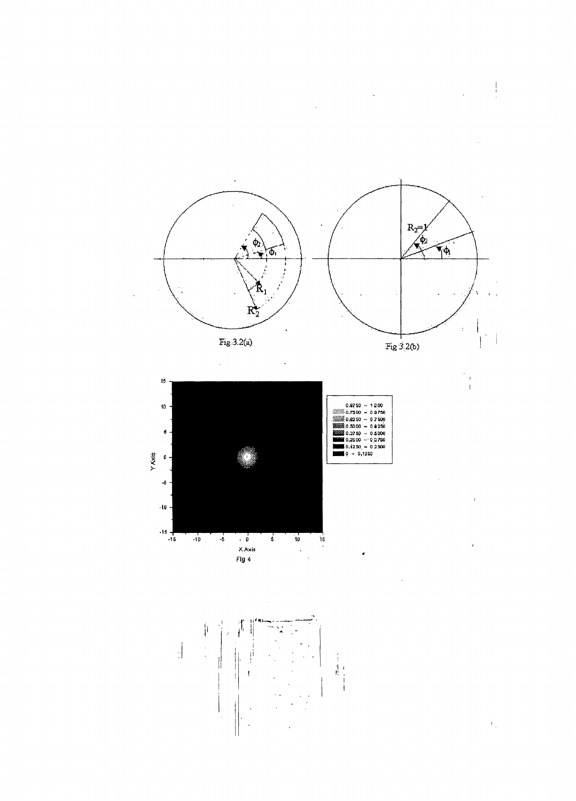$\begin{array}{c} \begin{array}{c} \begin{array}{c} \end{array} \\ \begin{array}{c} \end{array} \end{array} \end{array}$  $\hat{\boldsymbol{\beta}}$  $\ddot{\phantom{a}}$ 







 $\overline{1}$ 

 $\bar{1}$ 

 $\bar{t}$ 

 $\mathfrak{k}_{\mathbb{Z}_p}$ 

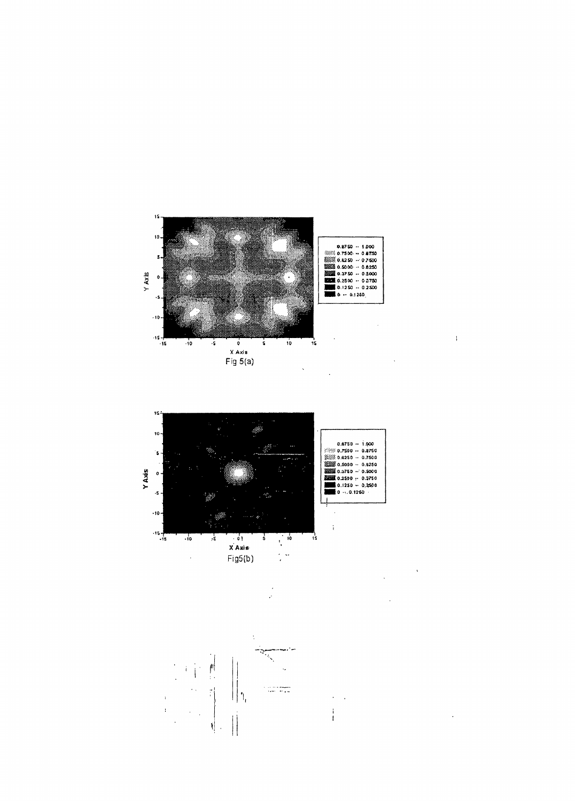

 $\bar{A}$ 

 $\ddot{\phantom{1}}$ 

 $\ddot{\phantom{0}}$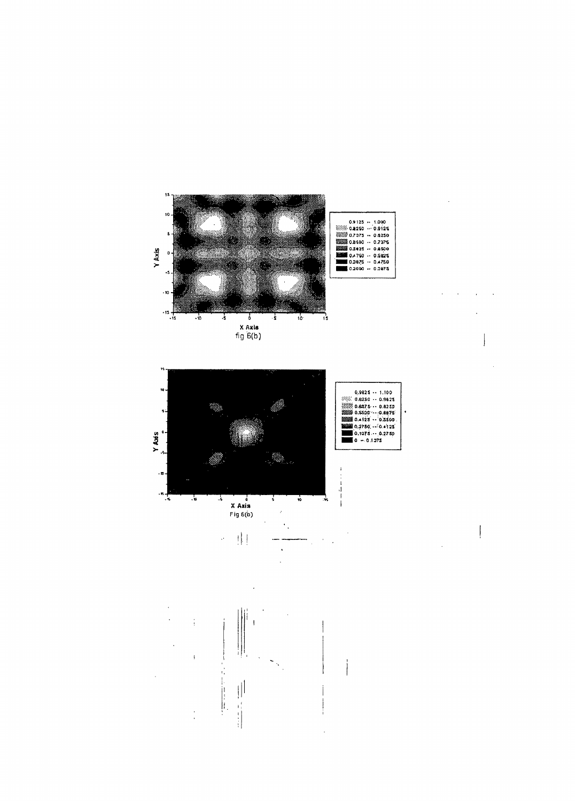

 $\frac{1}{\sqrt{2}}$ 

 $\begin{array}{c} \begin{array}{c} \begin{array}{c} \end{array} \\ \begin{array}{c} \end{array} \\ \begin{array}{c} \end{array} \\ \begin{array}{c} \end{array} \\ \begin{array}{c} \end{array} \\ \begin{array}{c} \end{array} \\ \begin{array}{c} \end{array} \\ \begin{array}{c} \end{array} \\ \begin{array}{c} \end{array} \\ \begin{array}{c} \end{array} \\ \begin{array}{c} \end{array} \\ \begin{array}{c} \end{array} \end{array}$ 

 $\begin{array}{c} \end{array}$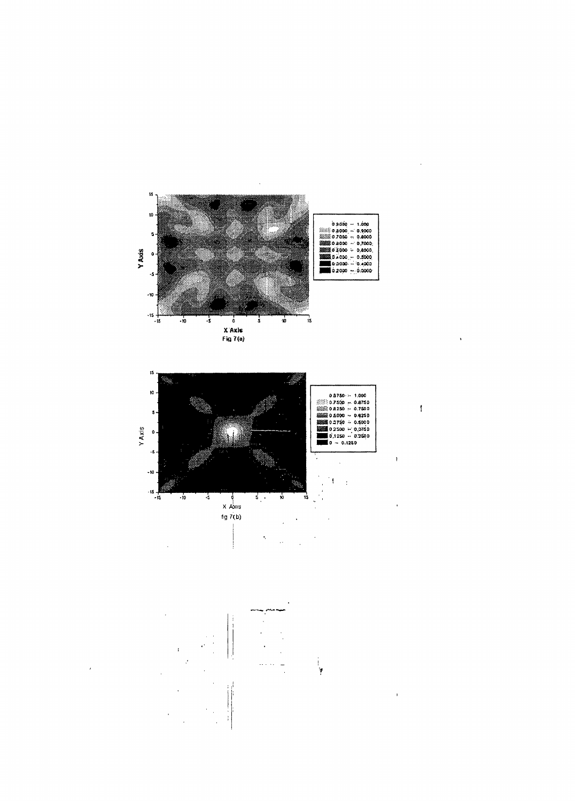

 $\ddot{\phantom{1}}$ 

 $\overline{\mathbf{I}}$ 

 $\bar{\mathbf{r}}$ 

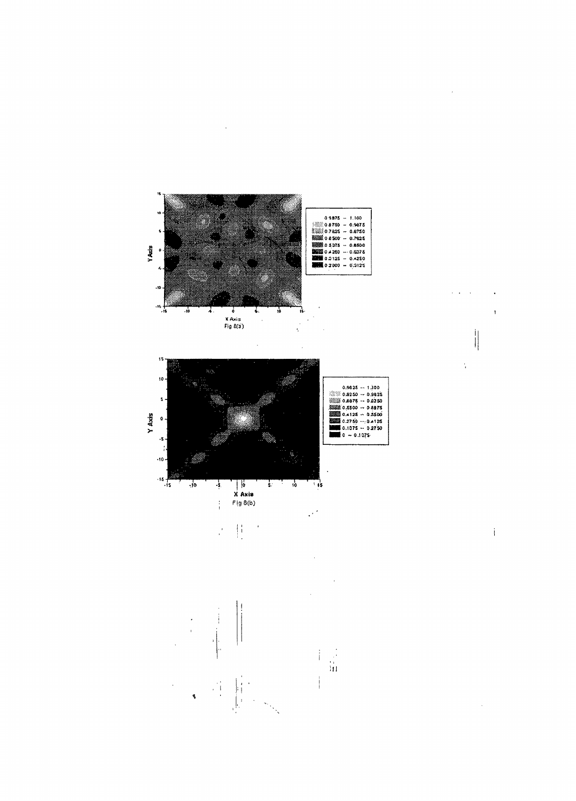![](_page_19_Figure_0.jpeg)

 $\ddot{\phantom{a}}$ 

 $\mathcal{L}^{\text{c}}$  ,  $\mathcal{L}^{\text{c}}$  ,  $\mathcal{L}^{\text{c}}$  $\ddot{\phantom{a}}$  $\pmb{\mathfrak{t}}$  $\begin{array}{c} \begin{array}{c} \text{i} \\ \text{ii} \end{array} \end{array}$ 

 $\hat{\boldsymbol{\theta}}$ 

 $\frac{1}{2}$ 

 $\mathbf i$ 

 $\hat{\mathcal{A}}$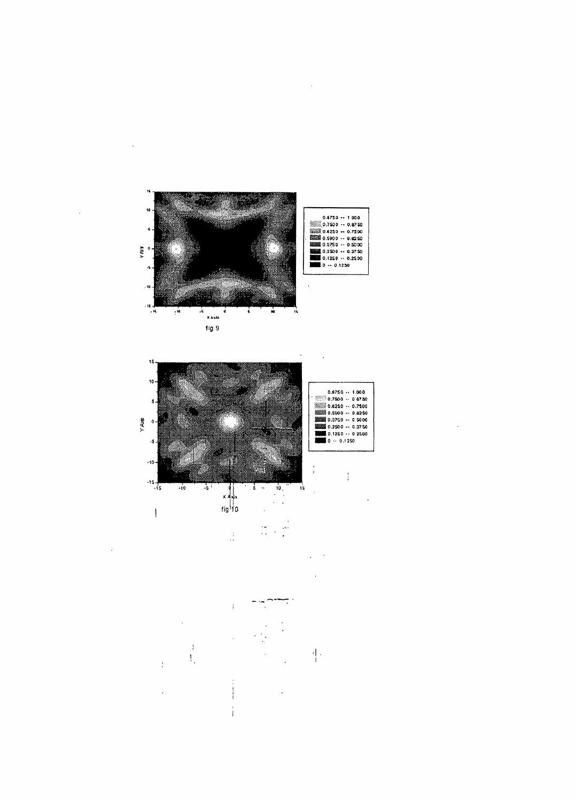![](_page_20_Figure_0.jpeg)

 $\ddot{\phantom{a}}$ 

 $\ddot{\phantom{a}}$ 

 $\ddot{\phantom{a}}$ 

![](_page_20_Figure_1.jpeg)

 $\bar{.}$ 

![](_page_20_Figure_2.jpeg)